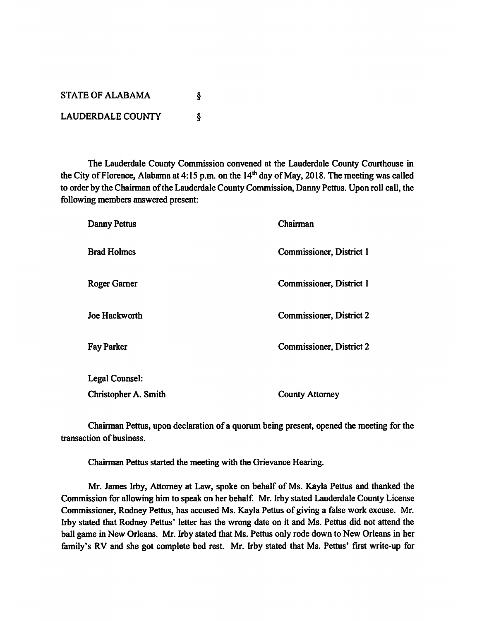| <b>STATE OF ALABAMA</b>  |  |
|--------------------------|--|
| <b>LAUDERDALE COUNTY</b> |  |

*The Lauderdale County Commission convened at the Lauderdale County Courthouse in theCity ofFlorence, Alabama at4:15 p.m. onthe 14th day of May, 2018. The meeting was called* to order by the Chairman of the Lauderdale County Commission, Danny Pettus. Upon roll call, the *following members answered present:*

| Danny Pettus         | Chairman                        |
|----------------------|---------------------------------|
| <b>Brad Holmes</b>   | Commissioner, District 1        |
| Roger Garner         | Commissioner, District 1        |
| Joe Hackworth        | <b>Commissioner, District 2</b> |
| <b>Fay Parker</b>    | Commissioner, District 2        |
| Legal Counsel:       |                                 |
| Christopher A. Smith | <b>County Attorney</b>          |

*ChairmanPettus, upon declaration ofa quorum being present, opened the meeting for the transaction* of business.

*Chairman Pettus started the meeting with the Grievance Hearing.*

*Mr. James Irby, Attorney at Law, spoke on behalf of Ms. Kayla Pettus and thanked the Commission* for allowing him to speak on her behalf. Mr. Irby stated Lauderdale County License *Commissioner, Rodney Pettus, has accused Ms. Kayla Pettus ofgiving a false work excuse. Mr. Irby stated that Rodney Pettus' letter has the wrong date on it and Ms. Pettus did not attend the ball game in New Orleans. Mr. Irby stated that Ms. Pettus only rode down to New Orleans in her family's RV and she got complete bed rest. Mr. Irby stated that Ms. Pettus' first write-up for*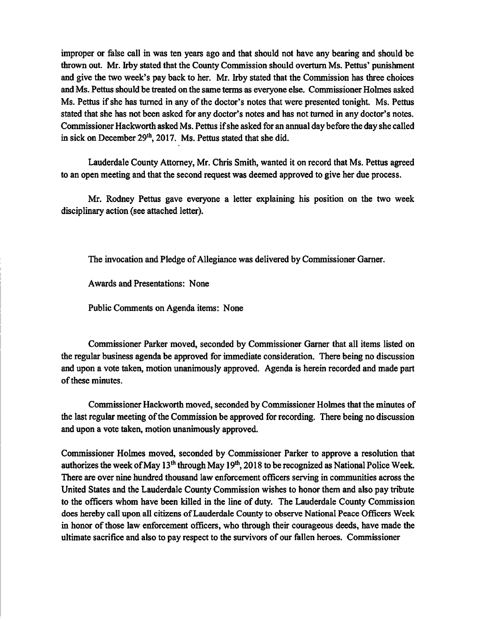improper or false call in was ten years ago and that should not have any bearing and should be thrown out. Mr. Irby stated that the County Commission should overturn Ms. Pettus' punishment and give the two week's pay back to her. Mr. Irby stated that the Commission has three choices and Ms. Pettus should be treated on the same terms as everyone else. Commissioner Holmes asked Ms. Pettus if she has turned in any of the doctor's notes that were presented tonight. Ms. Pettus stated that she has not been asked for any doctor's notes and has not turned in any doctor's notes. Commissioner Hackworth asked Ms. Pettus if she asked for an annual day before the day she called in sick on December 29<sup>th</sup>, 2017. Ms. Pettus stated that she did.

Lauderdale County Attorney, Mr. Chris Smith, wanted it on record that Ms. Pettus agreed to an open meeting and that the second request was deemed approved to give her due process.

Mr. Rodney Pettus gave everyone a letter explaining his position on the two week disciplinary action (see attached letter).

The invocation and Pledge of Allegiance was delivered by Commissioner Garner.

Awards and Presentations: None

Public Comments on Agenda items: None

Commissioner Parker moved, seconded by Commissioner Garner that all items listed on the regular business agenda be approved for immediate consideration. There being no discussion and upon a vote taken, motion unanimously approved. Agenda is herein recorded and made part of these minutes.

Commissioner Hackworth moved, seconded by Commissioner Holmes that the minutes of the last regular meeting ofthe Commission be approved for recording. There being no discussion and upon a vote taken, motion unanimously approved.

Commissioner Holmes moved, seconded by Commissioner Parker to approve a resolution that authorizes the week of May  $13<sup>th</sup>$  through May  $19<sup>th</sup>$ , 2018 to be recognized as National Police Week. There are over nine hundred thousand law enforcement officers serving in communities across the United States and the Lauderdale County Commission wishes to honor them and also pay tribute to the officers whom have been killed in the line of duty. The Lauderdale County Commission does hereby call upon all citizens ofLauderdale County to observe National Peace Officers Week in honor of those law enforcement officers, who through their courageous deeds, have made the ultimate sacrifice and also to pay respect to the survivors of our fallen heroes. Commissioner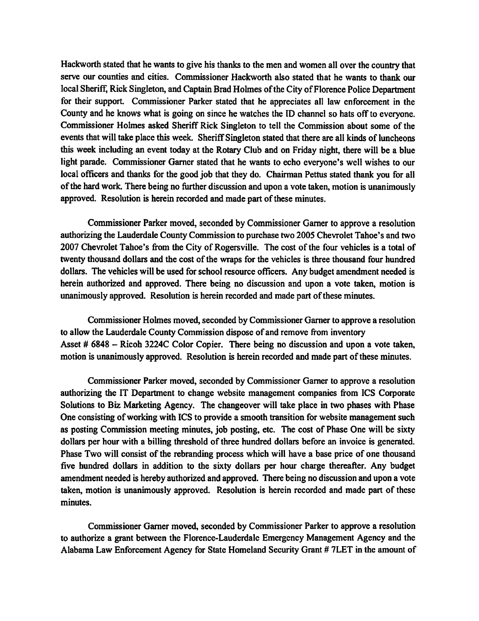*Hackworth stated that he* wants to give his thanks to the men and women all over the country that *serve our counties and cities. Commissioner Hackworth also stated that he wants to thank our local Sheriff, Rick Singleton, and Captain Brad Holmes oftheCityofFlorence Police Department for their support. Commissioner Parker stated that he appreciates all law enforcement in the County andhe knows what is going on since he watches the ID channel so hatsoff to everyone. Commissioner Holmes asked Sheriff Rick Singleton to tell the Commission about some of the events that will take place this week.* Sheriff Singleton stated that there are all kinds of luncheons *this week including an event today at the Rotary Club and on Friday night, there will be a blue light parade. Commissioner Garner stated that he wants to echo everyone's well wishes to our local officers andthanks for the goodjob that they do. Chairman Pettus stated thank you for all ofthe hard work. Therebeing no further discussion andupon a vote taken,motion isunanimously* approved. Resolution is herein recorded and made part of these minutes.

*CommissionerParker moved, seconded by Commissioner Gamer to approve a resolution authorizing the LauderdaleCounty Commission to purchase two 2005 Chevrolet Tahoe's and two 2007 Chevrolet Tahoe's from the City of Rogersville. The cost ofthe four vehicles is a total of twenty* thousand dollars and the cost of the wraps for the vehicles is three thousand four hundred *dollars. The vehicles will be used for school resourceofficers. Any budget amendment needed is herein authorized and approved. There being no discussion and upon a vote taken, motion is unanimously approved. Resolution is herein recorded and made partofthese minutes.*

*Commissioner Holmes moved, seconded by Commissioner Gamer to approve a resolution to allow the LauderdaleCounty Commission dispose ofand remove from inventory Asset # 6848 - Ricoh 3224C Color Copier. There being no discussion and upon a vote taken, motion is unanimously approved. Resolution is herein recorded and made part ofthese minutes.*

*Commissioner Parkermoved, seconded by Commissioner Gamer to approve a resolution authorizing the IT Department to change website management companies from ICS Corporate Solutions to Biz Marketing Agency. The changeover will take place in two phases with Phase One consisting ofworking with ICS to provide a smooth transition for website management such as posting Commission meeting minutes, job posting, etc. The cost of Phase One will be sixty dollars per hour with a billing threshold ofthree hundred dollars before an invoice is generated. Phase Two* will consist of the rebranding process which will have a base price of one thousand *five hundred dollars in addition to the sixty dollars per hour charge thereafter. Any budget amendment needed is hereby authorizedandapproved. There being no discussion andupon a vote taken, motion is unanimously approved. Resolution is herein recorded and made part of these minutes.*

*Commissioner Gamer moved, seconded by Commissioner Parker to approve a resolution to authorize a grant between the Florence-Lauderdale Emergency Management Agency and the Alabama Law Enforcement Agency for State Homeland Security Grant # 7LET in the amount of*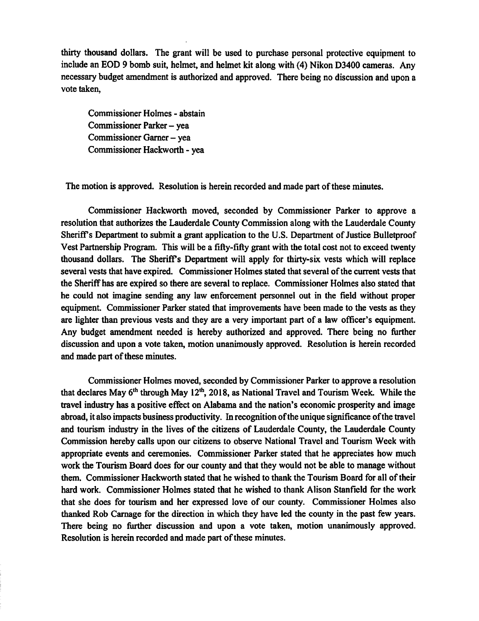thirty thousand dollars. The grant will be used to purchase personal protective equipment to include an EOD 9 bomb suit, helmet, and helmet kit along with (4) Nikon D3400 cameras. Any necessary budget amendment is authorized and approved. There being no discussion and upon a vote taken,

Commissioner Holmes - abstain Commissioner Parker - yea Commissioner Garner - yea Commissioner Hackworth - yea

The motion is approved. Resolution is herein recorded and made part of these minutes.

Commissioner Hackworth moved, seconded by Commissioner Parker to approve a resolution that authorizes the Lauderdale County Commission along with the Lauderdale County Sheriff's Department to submit a grant application to the U.S. Department of Justice Bulletproof Vest Partnership Program. This will be a fifty-fifty grant with the total cost not to exceed twenty thousand dollars. The Sheriff's Department will apply for thirty-six vests which will replace several vests that have expired. Commissioner Holmes stated that several ofthe current vests that the Sheriff has are expired so there are several to replace. Commissioner Holmes also stated that he could not imagine sending any law enforcement personnel out in the field without proper equipment. Commissioner Parker stated that improvements have been made to the vests as they are lighter than previous vests and they are a very important part of a law officer's equipment. Any budget amendment needed is hereby authorized and approved. There being no further discussion and upon a vote taken, motion unanimously approved. Resolution is herein recorded and made part of these minutes.

Commissioner Holmes moved, seconded by Commissioner Parker to approve a resolution that declares May  $6<sup>th</sup>$  through May 12<sup>th</sup>, 2018, as National Travel and Tourism Week. While the travel industry has a positive effect on Alabama and the nation's economic prosperity and image abroad, it also impacts business productivity. In recognition of the unique significance of the travel and tourism industry in the lives of the citizens of Lauderdale County, the Lauderdale County Commission hereby calls upon our citizens to observe National Travel and Tourism Week with appropriate events and ceremonies. Commissioner Parker stated that he appreciates how much work the Tourism Board does for our county and that they would not be able to manage without them. Commissioner Hackworth stated that he wished to thank the Tourism Board for all of their hard work. Commissioner Holmes stated that he wished to thank Alison Stanfield for the work that she does for tourism and her expressed love of our county. Commissioner Holmes also thanked Rob Carnage for the direction in which they have led the county in the past few years. There being no further discussion and upon a vote taken, motion unanimously approved. Resolution is herein recorded and made part of these minutes.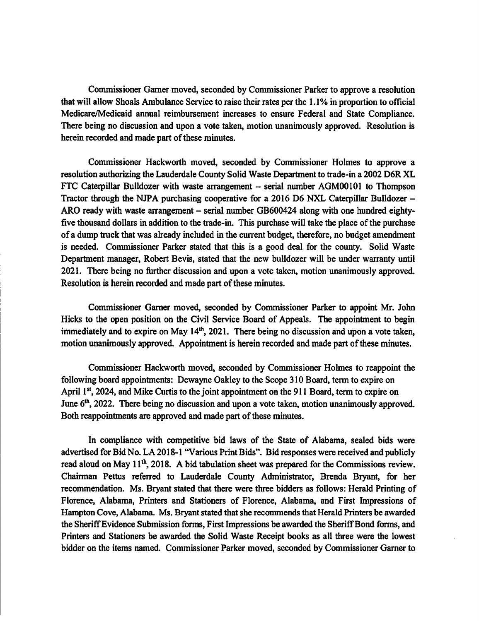Commissioner Garner moved, seconded by Commissioner Parker to approve a resolution that will allow Shoals Ambulance Service to raise their rates per the 1.1% in proportion to official Mcdicare/Medicaid annual reimbursement increases to ensure Federal and State Compliance. There being no discussion and upon a vote taken, motion unanimously approved. Resolution is herein recorded and made part of these minutes.

Commissioner Hackworth moved, seconded by Commissioner Holmes to approve a resolution authorizing the Lauderdale County Solid Waste Department to trade-in a 2002 D6R XL FTC Caterpillar Bulldozer with waste arrangement - serial number AGM00101 to Thompson Tractor through the NJPA purchasing cooperative for a 2016 D6 NXL Caterpillar Bulldozer – ARO ready with waste arrangement – serial number GB600424 along with one hundred eightyfive thousand dollars in addition to the trade-in. This purchase will take the place of the purchase of a dump truck that was already included in the current budget, therefore, no budget amendment is needed. Commissioner Parker stated that this is a good deal for the county. Solid Waste Department manager, Robert Bevis, stated that the new bulldozer will be under warranty until 2021. There being no further discussion and upon a vote taken, motion unanimously approved. Resolution is herein recorded and made part of these minutes.

Commissioner Garner moved, seconded by Commissioner Parker to appoint Mr. John Hicks to the open position on the Civil Service Board of Appeals. The appointment to begin immediately and to expire on May 14<sup>th</sup>, 2021. There being no discussion and upon a vote taken, motion unanimously approved. Appointment is herein recorded and made part of these minutes.

Commissioner Hackworth moved, seconded by Commissioner Holmes to reappoint the following board appointments: Dewayne Oakley to the Scope 310 Board, term to expire on April  $1<sup>st</sup>$ , 2024, and Mike Curtis to the joint appointment on the 911 Board, term to expire on June 6<sup>th</sup>, 2022. There being no discussion and upon a vote taken, motion unanimously approved. Both reappointments are approved and made part of these minutes.

In compliance with competitive bid laws of the State of Alabama, sealed bids were advertised for Bid No. LA 2018-1 "Various Print Bids". Bid responses were received and publicly read aloud on May 11<sup>th</sup>, 2018. A bid tabulation sheet was prepared for the Commissions review. Chairman Pettus referred to Lauderdale County Administrator, Brenda Bryant, for her recommendation. Ms. Bryant stated that there were three bidders as follows: Herald Printing of Florence, Alabama, Printers and Stationers of Florence, Alabama, and First Impressions of Hampton Cove, Alabama. Ms. Bryant stated that she recommends that Herald Printers be awarded the Sheriff Evidence Submission forms, First Impressions be awarded the Sheriff Bond forms, and Printers and Stationers be awarded the Solid Waste Receipt books as all three were the lowest bidder on the items named. Commissioner Parker moved, seconded by Commissioner Garner to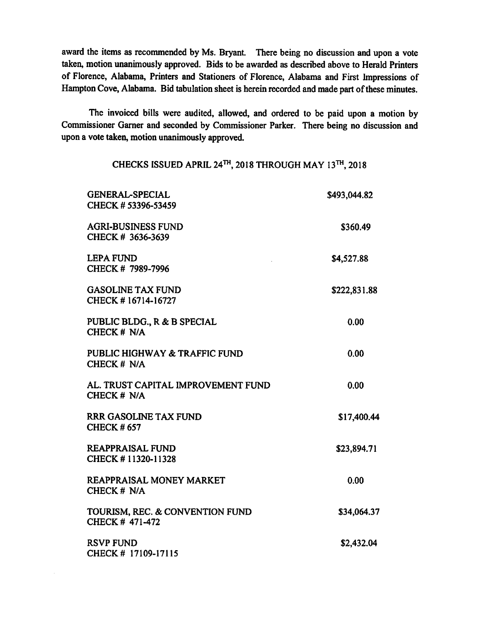*award the items asrecommended by Ms. Bryant. There being no discussion and upon a vote taken, motion unanimously approved. Bids to be awarded as described above to Herald Printers of Florence, Alabama, Printers and Stationers of Florence, Alabama and First Impressions of Hampton Cove, Alabama. Bid tabulation sheetis herein recorded andmadepart oftheseminutes.*

*The invoiced bills were audited, allowed, and ordered to be paid upon a motion by Commissioner Gamer and seconded by Commissioner Parker. There being no discussion and upon a vote taken, motion unanimouslyapproved.*

*CHECKS ISSUED APRIL 24th, 2018 THROUGH MAY 13™, 2018*

| <b>GENERAL-SPECIAL</b><br>CHECK # 53396-53459     | \$493,044.82 |
|---------------------------------------------------|--------------|
| <b>AGRI-BUSINESS FUND</b><br>CHECK # 3636-3639    | \$360.49     |
| <b>LEPA FUND</b><br>CHECK # 7989-7996             | \$4,527.88   |
| <b>GASOLINE TAX FUND</b><br>CHECK #16714-16727    | \$222,831.88 |
| PUBLIC BLDG., R & B SPECIAL<br>CHECK # N/A        | 0.00         |
| PUBLIC HIGHWAY & TRAFFIC FUND<br>CHECK # N/A      | 0.00         |
| AL. TRUST CAPITAL IMPROVEMENT FUND<br>CHECK # N/A | 0.00         |
| <b>RRR GASOLINE TAX FUND</b><br><b>CHECK #657</b> | \$17,400.44  |
| <b>REAPPRAISAL FUND</b><br>CHECK #11320-11328     | \$23,894.71  |
| <b>REAPPRAISAL MONEY MARKET</b><br>CHECK # N/A    | 0.00         |
| TOURISM, REC. & CONVENTION FUND<br>CHECK #471-472 | \$34,064.37  |
| <b>RSVP FUND</b><br>CHECK # 17109-17115           | \$2,432.04   |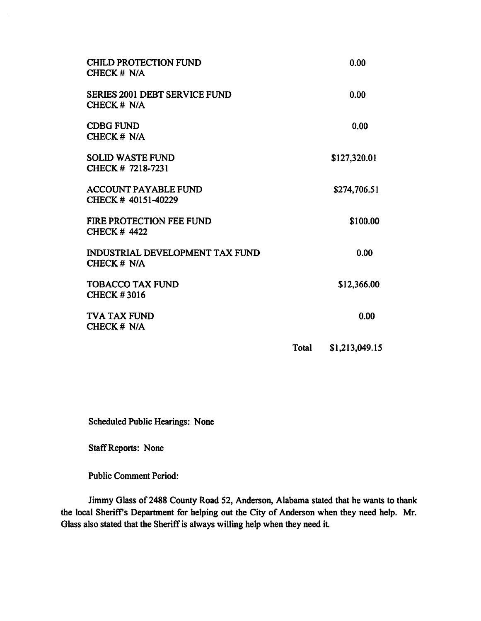| <b>CHILD PROTECTION FUND</b><br>CHECK # N/A            |       | 0.00           |
|--------------------------------------------------------|-------|----------------|
| <b>SERIES 2001 DEBT SERVICE FUND</b><br>CHECK # N/A    |       | 0.00           |
| <b>CDBG FUND</b><br>CHECK # N/A                        |       | 0.00           |
| <b>SOLID WASTE FUND</b><br>CHECK # 7218-7231           |       | \$127,320.01   |
| <b>ACCOUNT PAYABLE FUND</b><br>CHECK #40151-40229      |       | \$274,706.51   |
| <b>FIRE PROTECTION FEE FUND</b><br><b>CHECK # 4422</b> |       | \$100.00       |
| INDUSTRIAL DEVELOPMENT TAX FUND<br>CHECK # N/A         |       | 0.00           |
| <b>TOBACCO TAX FUND</b><br><b>CHECK #3016</b>          |       | \$12,366.00    |
| <b>TVA TAX FUND</b><br>CHECK # N/A                     |       | 0.00           |
|                                                        | Total | \$1,213,049.15 |

*Scheduled Public Hearings: None*

*StaffReports: None*

*Public Comment Period:*

*Jimmy Glass of 2488 County Road 52, Anderson, Alabama stated that he wants to thank the local Sheriffs Department for helping out the City of Anderson when they need help. Mr. Glass also stated that the Sheriff is always willing help when they need it.*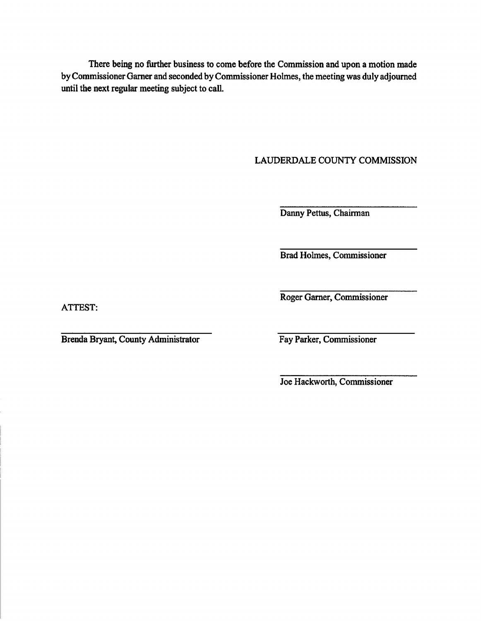There being no further business to come before the Commission and upon a motion made by Commissioner Garner and seconded by Commissioner Holmes, the meeting was duly adjourned until the next regular meeting subject to call.

## LAUDERDALE COUNTY COMMISSION

Danny Pettus, Chairman

Brad Holmes, Commissioner

ATTEST:

Brenda Bryant, County Administrator Fay Parker, Commissioner

Roger Gamer, Commissioner

Joe Hackworth, Commissioner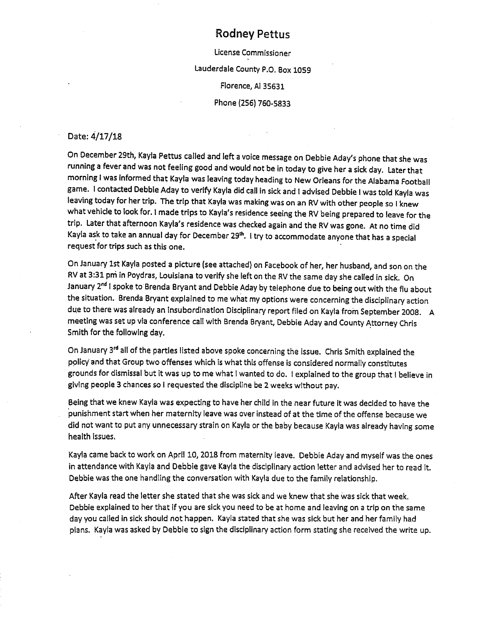## Rodney Pettus

License Commissioner Lauderdale County P.O. Box1059 Florence, Al 35631 Phone (256) 760-5833

## Date: 4/17/18

On December 29th, Kayla Pettus called and left a voice message on Debbie Aday's phone that she was running afever and was not feeling good and would not be in today to give her asick day. Later that morning I was informed that Kayla was leaving today heading to New Orleans for the Alabama Football game. I contacted Debbie Aday to verify Kayla did call in sick and I advised Debbie I was told Kayla was leaving today for her trip. The trip that Kayla was making was on an RV with other people so I knew what vehicle to look for. I made trips to Kayla's residence seeing the RV being prepared to leave for the trip. Later that afternoon Kayla's residence was checked again and the RV was gone. At no time did Kayla ask to take an annual day for December 29<sup>th</sup>. I try to accommodate anyone that has a special request for trips such as this one.

On January 1st Kayla posted a picture (see attached) on Facebook of her, her husband, and son on the RV at 3:31 pm in Poydras, Louisiana to verify she left on the RV the same day she called in sick. On January 2nd Ispoke to Brenda Bryant and Debbie Aday by telephone due to being out with the flu about the situation. Brenda Bryant explained to me what my options were concerning the disciplinary action due to there was already an insubordination Disciplinary report filed on Kayla from September 2008. A meeting was set up via conference call with Brenda Bryant, Debbie Aday and County Attorney Chris Smith for the following day.

On January 3rd all of the parties listed above spoke concerning the issue. Chris Smith explained the policy and that Group two offenses which is what thisoffense is considered normally constitutes grounds for dismissal but it was up to me what I wanted to do. I explained to the group that I believe in giving people 3 chances so I requested the discipline be 2 weeks without pay.

Being that we knew Kayla was expecting to have her child in the near future it was decided to have the punishment start when her maternity leave was over instead of at the time of the offense because we did not want to put any unnecessary strain on Kayla or the baby because Kayla was already having some health issues.

Kayla came back to work on April 10, 2018 from maternity leave. Debbie Aday and myself was the ones in attendance with Kayla and Debbie gave Kayla the disciplinary action letter and advised her to read it. Debbie was the one handling the conversation with Kayla due to the family relationship.

After Kayla read the letter she stated that she was sick and we knew that she was sick that week. Debbie explained to her that if you are sick you need to be at home and leaving on a trip on the same day you called in sick should not happen. Kayla stated that she was sick but her and her family had plans. Kayla was asked by Debbie to sign the disciplinary action form stating she received the write up.